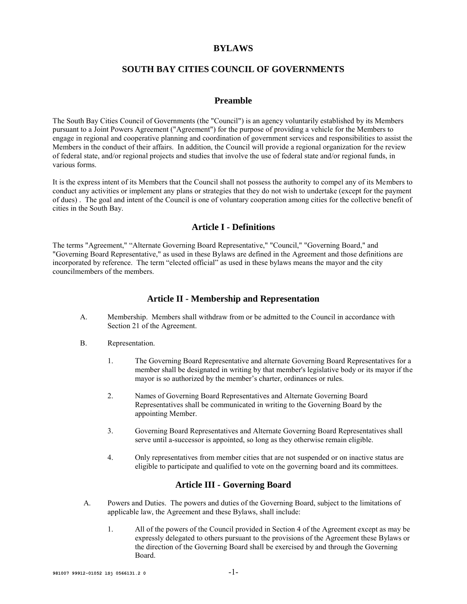#### **BYLAWS**

## **SOUTH BAY CITIES COUNCIL OF GOVERNMENTS**

#### **Preamble**

The South Bay Cities Council of Governments (the "Council") is an agency voluntarily established by its Members pursuant to a Joint Powers Agreement ("Agreement") for the purpose of providing a vehicle for the Members to engage in regional and cooperative planning and coordination of government services and responsibilities to assist the Members in the conduct of their affairs. In addition, the Council will provide a regional organization for the review of federal state, and/or regional projects and studies that involve the use of federal state and/or regional funds, in various forms.

It is the express intent of its Members that the Council shall not possess the authority to compel any of its Members to conduct any activities or implement any plans or strategies that they do not wish to undertake (except for the payment of dues) . The goal and intent of the Council is one of voluntary cooperation among cities for the collective benefit of cities in the South Bay.

## **Article I - Definitions**

The terms "Agreement," "Alternate Governing Board Representative," "Council," "Governing Board," and "Governing Board Representative," as used in these Bylaws are defined in the Agreement and those definitions are incorporated by reference. The term "elected official" as used in these bylaws means the mayor and the city councilmembers of the members.

#### **Article II - Membership and Representation**

- A. Membership. Members shall withdraw from or be admitted to the Council in accordance with Section 21 of the Agreement.
- B. Representation.
	- 1. The Governing Board Representative and alternate Governing Board Representatives for a member shall be designated in writing by that member's legislative body or its mayor if the mayor is so authorized by the member's charter, ordinances or rules.
	- 2. Names of Governing Board Representatives and Alternate Governing Board Representatives shall be communicated in writing to the Governing Board by the appointing Member.
	- 3. Governing Board Representatives and Alternate Governing Board Representatives shall serve until a-successor is appointed, so long as they otherwise remain eligible.
	- 4. Only representatives from member cities that are not suspended or on inactive status are eligible to participate and qualified to vote on the governing board and its committees.

#### **Article III - Governing Board**

- A. Powers and Duties. The powers and duties of the Governing Board, subject to the limitations of applicable law, the Agreement and these Bylaws, shall include:
	- 1. All of the powers of the Council provided in Section 4 of the Agreement except as may be expressly delegated to others pursuant to the provisions of the Agreement these Bylaws or the direction of the Governing Board shall be exercised by and through the Governing Board.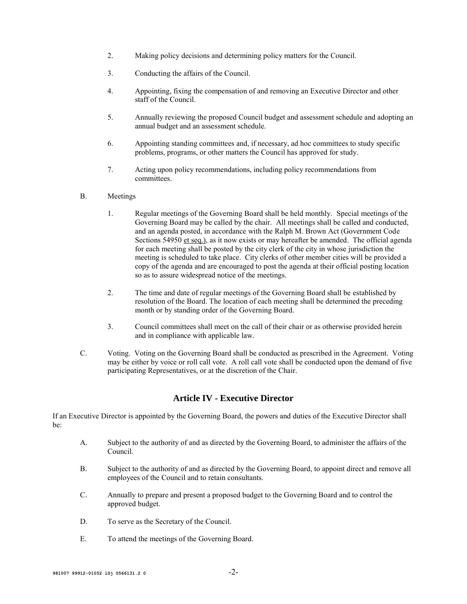- 2. Making policy decisions and determining policy matters for the Council.
- 3. Conducting the affairs of the Council.
- 4. Appointing, fixing the compensation of and removing an Executive Director and other staff of the Council.
- 5. Annually reviewing the proposed Council budget and assessment schedule and adopting an annual budget and an assessment schedule.
- 6. Appointing standing committees and, if necessary, ad hoc committees to study specific problems, programs, or other matters the Council has approved for study.
- 7. Acting upon policy recommendations, including policy recommendations from committees.

#### B. Meetings

- 1. Regular meetings of the Governing Board shall be held monthly. Special meetings of the Governing Board may be called by the chair. All meetings shall be called and conducted, and an agenda posted, in accordance with the Ralph M. Brown Act (Government Code Sections 54950 et seq.), as it now exists or may hereafter be amended. The official agenda for each meeting shall be posted by the city clerk of the city in whose jurisdiction the meeting is scheduled to take place. City clerks of other member cities will be provided a copy of the agenda and are encouraged to post the agenda at their official posting location so as to assure widespread notice of the meetings.
- 2. The time and date of regular meetings of the Governing Board shall be established by resolution of the Board. The location of each meeting shall be determined the preceding month or by standing order of the Governing Board.
- 3. Council committees shall meet on the call of their chair or as otherwise provided herein and in compliance with applicable law.
- C. Voting. Voting on the Governing Board shall be conducted as prescribed in the Agreement. Voting may be either by voice or roll call vote. A roll call vote shall be conducted upon the demand of five participating Representatives, or at the discretion of the Chair.

## **Article IV - Executive Director**

If an Executive Director is appointed by the Governing Board, the powers and duties of the Executive Director shall be:

- A. Subject to the authority of and as directed by the Governing Board, to administer the affairs of the Council.
- B. Subject to the authority of and as directed by the Governing Board, to appoint direct and remove all employees of the Council and to retain consultants.
- C. Annually to prepare and present a proposed budget to the Governing Board and to control the approved budget.
- D. To serve as the Secretary of the Council.
- E. To attend the meetings of the Governing Board.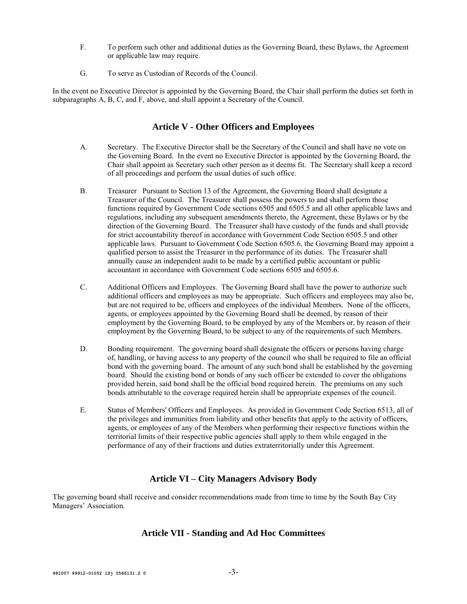- F. To perform such other and additional duties as the Governing Board, these Bylaws, the Agreement or applicable law may require.
- G. To serve as Custodian of Records of the Council.

In the event no Executive Director is appointed by the Governing Board, the Chair shall perform the duties set forth in subparagraphs A, B, C, and F, above, and shall appoint a Secretary of the Council.

# **Article V - Other Officers and Employees**

- A. Secretary. The Executive Director shall be the Secretary of the Council and shall have no vote on the Governing Board. In the event no Executive Director is appointed by the Governing Board, the Chair shall appoint as Secretary such other person as it deems fit. The Secretary shall keep a record of all proceedings and perform the usual duties of such office.
- B. Treasurer Pursuant to Section 13 of the Agreement, the Governing Board shall designate a Treasurer of the Council. The Treasurer shall possess the powers to and shall perform those functions required by Government Code sections 6505 and 6505.5 and all other applicable laws and regulations, including any subsequent amendments thereto, the Agreement, these Bylaws or by the direction of the Governing Board. The Treasurer shall have custody of the funds and shall provide for strict accountability thereof in accordance with Government Code Section 6505.5 and other applicable laws. Pursuant to Government Code Section 6505.6, the Governing Board may appoint a qualified person to assist the Treasurer in the performance of its duties. The Treasurer shall annually cause an independent audit to be made by a certified public accountant or public accountant in accordance with Government Code sections 6505 and 6505.6.
- C. Additional Officers and Employees. The Governing Board shall have the power to authorize such additional officers and employees as may be appropriate. Such officers and employees may also be, but are not required to be, officers and employees of the individual Members. None of the officers, agents, or employees appointed by the Governing Board shall be deemed, by reason of their employment by the Governing Board, to be employed by any of the Members or, by reason of their employment by the Governing Board, to be subject to any of the requirements of such Members.
- D. Bonding requirement. The governing board shall designate the officers or persons having charge of, handling, or having access to any property of the council who shall be required to file an official bond with the governing board. The amount of any such bond shall be established by the governing board. Should the existing bond or bonds of any such officer be extended to cover the obligations provided herein, said bond shall be the official bond required herein. The premiums on any such bonds attributable to the coverage required herein shall be appropriate expenses of the council.
- E. Status of Members' Officers and Employees. As provided in Government Code Section 6513, all of the privileges and immunities from liability and other benefits that apply to the activity of officers, agents, or employees of any of the Members when performing their respective functions within the territorial limits of their respective public agencies shall apply to them while engaged in the performance of any of their fractions and duties extraterritorially under this Agreement.

# **Article VI – City Managers Advisory Body**

The governing board shall receive and consider recommendations made from time to time by the South Bay City Managers' Association.

## **Article VII - Standing and Ad Hoc Committees**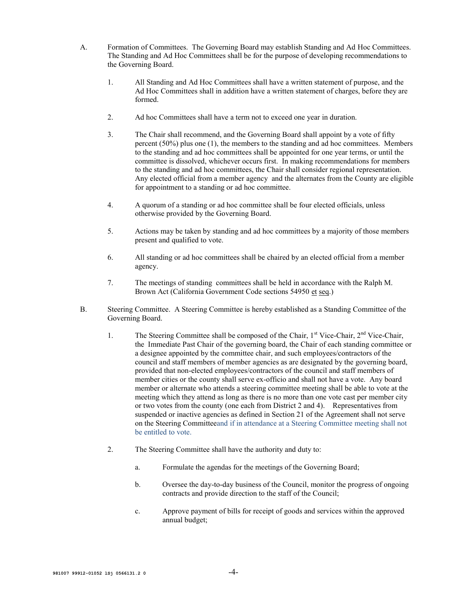- A. Formation of Committees. The Governing Board may establish Standing and Ad Hoc Committees. The Standing and Ad Hoc Committees shall be for the purpose of developing recommendations to the Governing Board.
	- 1. All Standing and Ad Hoc Committees shall have a written statement of purpose, and the Ad Hoc Committees shall in addition have a written statement of charges, before they are formed.
	- 2. Ad hoc Committees shall have a term not to exceed one year in duration.
	- 3. The Chair shall recommend, and the Governing Board shall appoint by a vote of fifty percent (50%) plus one (1), the members to the standing and ad hoc committees. Members to the standing and ad hoc committees shall be appointed for one year terms, or until the committee is dissolved, whichever occurs first. In making recommendations for members to the standing and ad hoc committees, the Chair shall consider regional representation. Any elected official from a member agency and the alternates from the County are eligible for appointment to a standing or ad hoc committee.
	- 4. A quorum of a standing or ad hoc committee shall be four elected officials, unless otherwise provided by the Governing Board.
	- 5. Actions may be taken by standing and ad hoc committees by a majority of those members present and qualified to vote.
	- 6. All standing or ad hoc committees shall be chaired by an elected official from a member agency.
	- 7. The meetings of standing committees shall be held in accordance with the Ralph M. Brown Act (California Government Code sections 54950 et seq.)
- B. Steering Committee. A Steering Committee is hereby established as a Standing Committee of the Governing Board.
	- 1. The Steering Committee shall be composed of the Chair,  $1<sup>st</sup>$  Vice-Chair,  $2<sup>nd</sup>$  Vice-Chair, the Immediate Past Chair of the governing board, the Chair of each standing committee or a designee appointed by the committee chair, and such employees/contractors of the council and staff members of member agencies as are designated by the governing board, provided that non-elected employees/contractors of the council and staff members of member cities or the county shall serve ex-officio and shall not have a vote. Any board member or alternate who attends a steering committee meeting shall be able to vote at the meeting which they attend as long as there is no more than one vote cast per member city or two votes from the county (one each from District 2 and 4). Representatives from suspended or inactive agencies as defined in Section 21 of the Agreement shall not serve on the Steering Committeeand if in attendance at a Steering Committee meeting shall not be entitled to vote.
	- 2. The Steering Committee shall have the authority and duty to:
		- a. Formulate the agendas for the meetings of the Governing Board;
		- b. Oversee the day-to-day business of the Council, monitor the progress of ongoing contracts and provide direction to the staff of the Council;
		- c. Approve payment of bills for receipt of goods and services within the approved annual budget;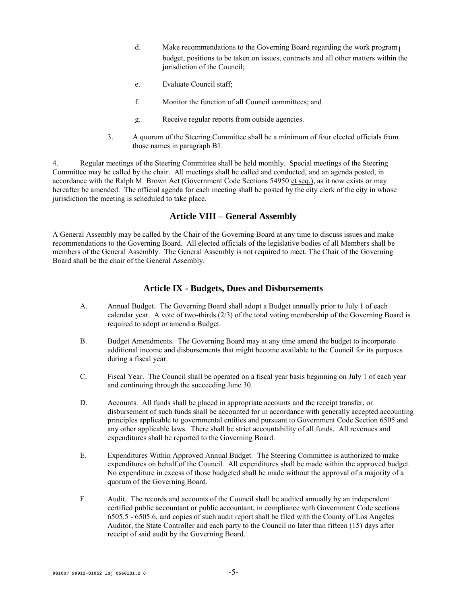- d. Make recommendations to the Governing Board regarding the work program<sub>1</sub> budget, positions to be taken on issues, contracts and all other matters within the jurisdiction of the Council;
- e. Evaluate Council staff;
- f. Monitor the function of all Council committees; and
- g. Receive regular reports from outside agencies.
- 3. A quorum of the Steering Committee shall be a minimum of four elected officials from those names in paragraph B1.

4. Regular meetings of the Steering Committee shall be held monthly. Special meetings of the Steering Committee may be called by the chair. All meetings shall be called and conducted, and an agenda posted, in accordance with the Ralph M. Brown Act (Government Code Sections 54950 et seq.), as it now exists or may hereafter be amended. The official agenda for each meeting shall be posted by the city clerk of the city in whose jurisdiction the meeting is scheduled to take place.

# **Article VIII – General Assembly**

A General Assembly may be called by the Chair of the Governing Board at any time to discuss issues and make recommendations to the Governing Board. All elected officials of the legislative bodies of all Members shall be members of the General Assembly. The General Assembly is not required to meet. The Chair of the Governing Board shall be the chair of the General Assembly.

## **Article IX - Budgets, Dues and Disbursements**

- A. Annual Budget. The Governing Board shall adopt a Budget annually prior to July 1 of each calendar year. A vote of two-thirds (2/3) of the total voting membership of the Governing Board is required to adopt or amend a Budget.
- B. Budget Amendments. The Governing Board may at any time amend the budget to incorporate additional income and disbursements that might become available to the Council for its purposes during a fiscal year.
- C. Fiscal Year. The Council shall be operated on a fiscal year basis beginning on July 1 of each year and continuing through the succeeding June 30.
- D. Accounts. All funds shall be placed in appropriate accounts and the receipt transfer, or disbursement of such funds shall be accounted for in accordance with generally accepted accounting principles applicable to governmental entities and pursuant to Government Code Section 6505 and any other applicable laws. There shall be strict accountability of all funds. All revenues and expenditures shall be reported to the Governing Board.
- E. Expenditures Within Approved Annual Budget. The Steering Committee is authorized to make expenditures on behalf of the Council. All expenditures shall be made within the approved budget. No expenditure in excess of those budgeted shall be made without the approval of a majority of a quorum of the Governing Board.
- F. Audit. The records and accounts of the Council shall be audited annually by an independent certified public accountant or public accountant, in compliance with Government Code sections 6505.5 - 6505.6, and copies of such audit report shall be filed with the County of Los Angeles Auditor, the State Controller and each party to the Council no later than fifteen (15) days after receipt of said audit by the Governing Board.